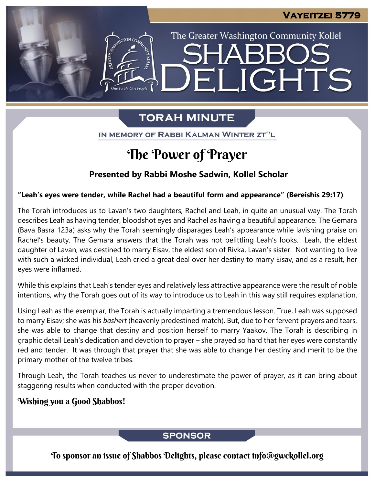The Greater Washington Community Kollel

ELIGHTS

# **TORAH MINUTE**

IN MEMORY OF RABBI KALMAN WINTER ZT"L

# The Power of Prayer

### **Presented by Rabbi Moshe Sadwin, Kollel Scholar**

#### **"Leah's eyes were tender, while Rachel had a beautiful form and appearance" (Bereishis 29:17)**

The Torah introduces us to Lavan's two daughters, Rachel and Leah, in quite an unusual way. The Torah describes Leah as having tender, bloodshot eyes and Rachel as having a beautiful appearance. The Gemara (Bava Basra 123a) asks why the Torah seemingly disparages Leah's appearance while lavishing praise on Rachel's beauty. The Gemara answers that the Torah was not belittling Leah's looks. Leah, the eldest daughter of Lavan, was destined to marry Eisav, the eldest son of Rivka, Lavan's sister. Not wanting to live with such a wicked individual, Leah cried a great deal over her destiny to marry Eisav, and as a result, her eyes were inflamed.

While this explains that Leah's tender eyes and relatively less attractive appearance were the result of noble intentions, why the Torah goes out of its way to introduce us to Leah in this way still requires explanation.

Using Leah as the exemplar, the Torah is actually imparting a tremendous lesson. True, Leah was supposed to marry Eisav; she was his *bashert* (heavenly predestined match). But, due to her fervent prayers and tears, she was able to change that destiny and position herself to marry Yaakov. The Torah is describing in graphic detail Leah's dedication and devotion to prayer – she prayed so hard that her eyes were constantly red and tender. It was through that prayer that she was able to change her destiny and merit to be the primary mother of the twelve tribes.

Through Leah, the Torah teaches us never to underestimate the power of prayer, as it can bring about staggering results when conducted with the proper devotion.

#### Wishing you a Good Shabbos!

#### **SPONSOR**

To sponsor an issue of Shabbos Delights, please contact info@gwckollel.org